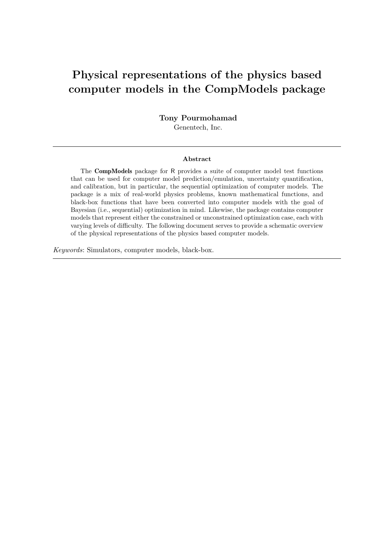# **Physical representations of the physics based computer models in the CompModels package**

**Tony Pourmohamad** Genentech, Inc.

#### **Abstract**

The CompModels package for R provides a suite of computer model test functions that can be used for computer model prediction/emulation, uncertainty quantification, and calibration, but in particular, the sequential optimization of computer models. The package is a mix of real-world physics problems, known mathematical functions, and black-box functions that have been converted into computer models with the goal of Bayesian (i.e., sequential) optimization in mind. Likewise, the package contains computer models that represent either the constrained or unconstrained optimization case, each with varying levels of difficulty. The following document serves to provide a schematic overview of the physical representations of the physics based computer models.

*Keywords*: Simulators, computer models, black-box.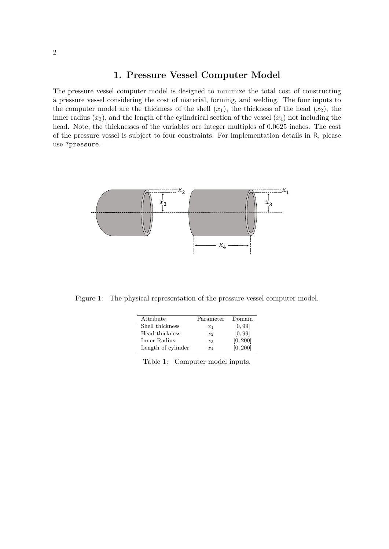#### **1. Pressure Vessel Computer Model**

The pressure vessel computer model is designed to minimize the total cost of constructing a pressure vessel considering the cost of material, forming, and welding. The four inputs to the computer model are the thickness of the shell  $(x_1)$ , the thickness of the head  $(x_2)$ , the inner radius  $(x_3)$ , and the length of the cylindrical section of the vessel  $(x_4)$  not including the head. Note, the thicknesses of the variables are integer multiples of 0.0625 inches. The cost of the pressure vessel is subject to four constraints. For implementation details in R, please use ?pressure.



Figure 1: The physical representation of the pressure vessel computer model.

| Attribute          | Parameter | Domain   |
|--------------------|-----------|----------|
| Shell thickness    | $x_1$     | [0, 99]  |
| Head thickness     | $x_2$     | [0, 99]  |
| Inner Radius       | $x_3$     | [0, 200] |
| Length of cylinder | $x_4$     | [0, 200] |

Table 1: Computer model inputs.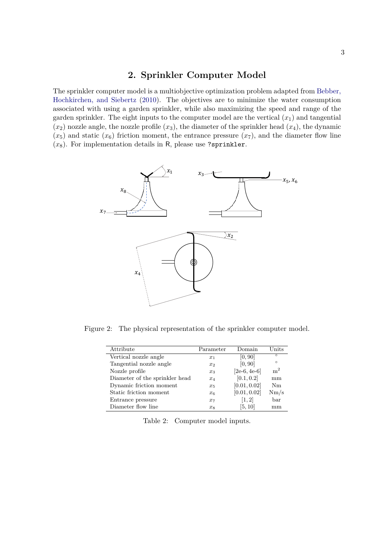#### **2. Sprinkler Computer Model**

The sprinkler computer model is a multiobjective optimization problem adapted from [Bebber,](#page-4-0) [Hochkirchen, and Siebertz](#page-4-0) [\(2010\)](#page-4-0). The objectives are to minimize the water consumption associated with using a garden sprinkler, while also maximizing the speed and range of the garden sprinkler. The eight inputs to the computer model are the vertical  $(x_1)$  and tangential  $(x_2)$  nozzle angle, the nozzle profile  $(x_3)$ , the diameter of the sprinkler head  $(x_4)$ , the dynamic  $(x_5)$  and static  $(x_6)$  friction moment, the entrance pressure  $(x_7)$ , and the diameter flow line (*x*8). For implementation details in R, please use ?sprinkler.



Figure 2: The physical representation of the sprinkler computer model.

| Attribute                      | Parameter | Domain         | Units          |
|--------------------------------|-----------|----------------|----------------|
| Vertical nozzle angle          | $x_1$     | [0, 90]        | $\circ$        |
| Tangential nozzle angle        | $x_2$     | [0, 90]        | $\circ$        |
| Nozzle profile                 | $x_3$     | $[2e-6, 4e-6]$ | m <sup>2</sup> |
| Diameter of the sprinkler head | $x_4$     | [0.1, 0.2]     | mm             |
| Dynamic friction moment        | $x_5$     | [0.01, 0.02]   | Nm             |
| Static friction moment         | $x_6$     | [0.01, 0.02]   | Nm/s           |
| Entrance pressure              | $x_7$     | [1, 2]         | bar            |
| Diameter flow line             | $x_8$     | [5, 10]        | mm             |

|  | Table 2: Computer model inputs. |  |  |
|--|---------------------------------|--|--|
|--|---------------------------------|--|--|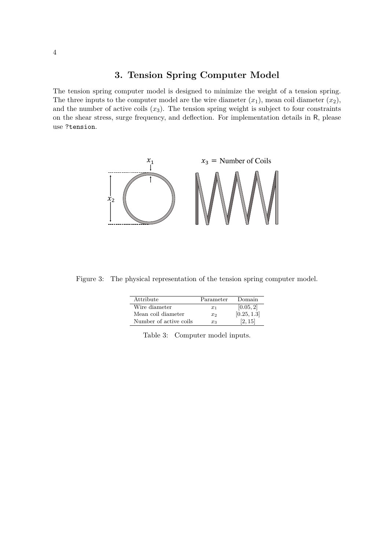### **3. Tension Spring Computer Model**

The tension spring computer model is designed to minimize the weight of a tension spring. The three inputs to the computer model are the wire diameter  $(x_1)$ , mean coil diameter  $(x_2)$ , and the number of active coils  $(x_3)$ . The tension spring weight is subject to four constraints on the shear stress, surge frequency, and deflection. For implementation details in R, please use ?tension.



Figure 3: The physical representation of the tension spring computer model.

| Attribute              | Parameter | Domain      |
|------------------------|-----------|-------------|
| Wire diameter          | $x_1$     | [0.05, 2]   |
| Mean coil diameter     | $x_{2}$   | [0.25, 1.3] |
| Number of active coils | $x_3$     | [2, 15]     |

| Table 3: Computer model inputs. |  |
|---------------------------------|--|